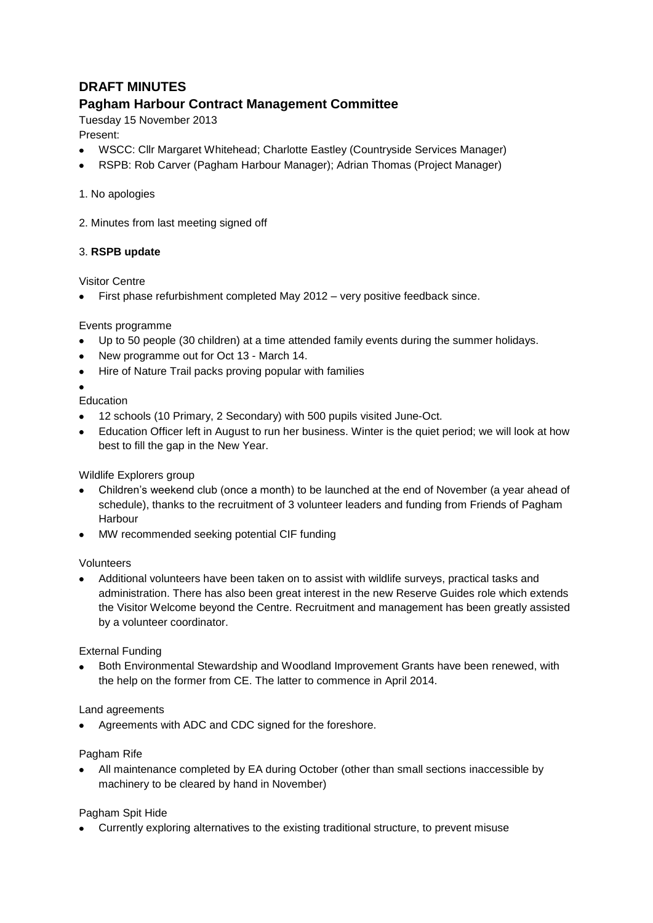# **DRAFT MINUTES**

## **Pagham Harbour Contract Management Committee**

Tuesday 15 November 2013

## Present:

- WSCC: Cllr Margaret Whitehead; Charlotte Eastley (Countryside Services Manager)
- RSPB: Rob Carver (Pagham Harbour Manager); Adrian Thomas (Project Manager)

#### 1. No apologies

2. Minutes from last meeting signed off

### 3. **RSPB update**

Visitor Centre

First phase refurbishment completed May 2012 – very positive feedback since.

### Events programme

- Up to 50 people (30 children) at a time attended family events during the summer holidays.
- New programme out for Oct 13 March 14.
- Hire of Nature Trail packs proving popular with families

#### Education

- 12 schools (10 Primary, 2 Secondary) with 500 pupils visited June-Oct.
- Education Officer left in August to run her business. Winter is the quiet period; we will look at how best to fill the gap in the New Year.

#### Wildlife Explorers group

- Children's weekend club (once a month) to be launched at the end of November (a year ahead of schedule), thanks to the recruitment of 3 volunteer leaders and funding from Friends of Pagham Harbour
- MW recommended seeking potential CIF funding

#### Volunteers

Additional volunteers have been taken on to assist with wildlife surveys, practical tasks and administration. There has also been great interest in the new Reserve Guides role which extends the Visitor Welcome beyond the Centre. Recruitment and management has been greatly assisted by a volunteer coordinator.

#### External Funding

Both Environmental Stewardship and Woodland Improvement Grants have been renewed, with  $\bullet$ the help on the former from CE. The latter to commence in April 2014.

#### Land agreements

Agreements with ADC and CDC signed for the foreshore.

#### Pagham Rife

All maintenance completed by EA during October (other than small sections inaccessible by machinery to be cleared by hand in November)

#### Pagham Spit Hide

Currently exploring alternatives to the existing traditional structure, to prevent misuse